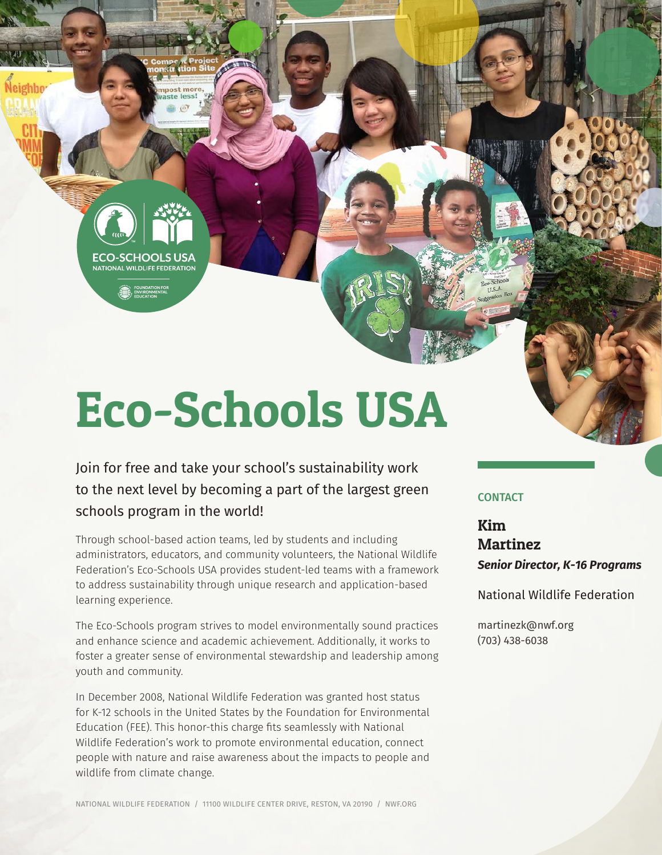Eco-Schools USA

FCO-SCHOOLS USA **NATIONAL WILDLIFE FEDERATION** 

Neighbo

Join for free and take your school's sustainability work to the next level by becoming a part of the largest green schools program in the world!

Through school-based action teams, led by students and including administrators, educators, and community volunteers, the National Wildlife Federation's Eco-Schools USA provides student-led teams with a framework to address sustainability through unique research and application-based learning experience.

The Eco-Schools program strives to model environmentally sound practices and enhance science and academic achievement. Additionally, it works to foster a greater sense of environmental stewardship and leadership among youth and community.

In December 2008, National Wildlife Federation was granted host status for K-12 schools in the United States by the Foundation for Environmental Education (FEE). This honor-this charge fits seamlessly with National Wildlife Federation's work to promote environmental education, connect people with nature and raise awareness about the impacts to people and wildlife from climate change.

#### **CONTACT**

Kim Martinez *Senior Director, K-16 Programs*

National Wildlife Federation

martinezk@nwf.org (703) 438-6038